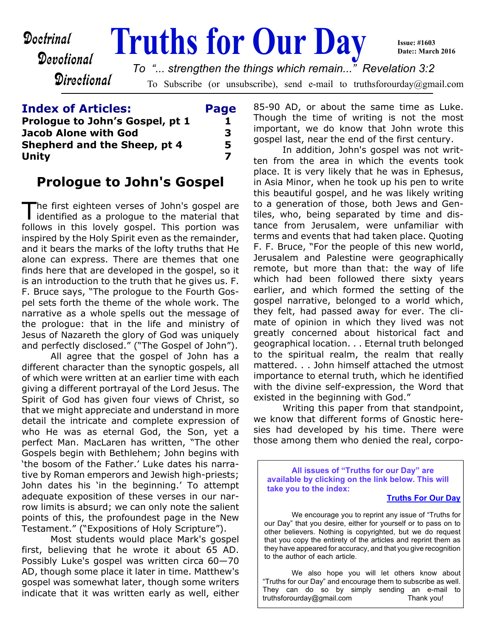**Doctrinal Truths for Our Day** Devotional **Directional** To Subscribe (or unsubscribe), send e-mail to truthsforourday@gmail.com **Issue: #1603 Date:: March 2016** *To "... strengthen the things which remain..." Revelation 3:2*

### **Index of Articles: Page Prologue to John's Gospel, pt 1 1 1 Jacob Alone with God 3 Shepherd and the Sheep, pt 4 5 Unity 7**

## **Prologue to John's Gospel**

The first eighteen verses of John's gospel are<br>identified as a prologue to the material that he first eighteen verses of John's gospel are follows in this lovely gospel. This portion was inspired by the Holy Spirit even as the remainder, and it bears the marks of the lofty truths that He alone can express. There are themes that one finds here that are developed in the gospel, so it is an introduction to the truth that he gives us. F. F. Bruce says, "The prologue to the Fourth Gospel sets forth the theme of the whole work. The narrative as a whole spells out the message of the prologue: that in the life and ministry of Jesus of Nazareth the glory of God was uniquely and perfectly disclosed." ("The Gospel of John").

 All agree that the gospel of John has a different character than the synoptic gospels, all of which were written at an earlier time with each giving a different portrayal of the Lord Jesus. The Spirit of God has given four views of Christ, so that we might appreciate and understand in more detail the intricate and complete expression of who He was as eternal God, the Son, yet a perfect Man. MacLaren has written, "The other Gospels begin with Bethlehem; John begins with 'the bosom of the Father.' Luke dates his narrative by Roman emperors and Jewish high-priests; John dates his 'in the beginning.' To attempt adequate exposition of these verses in our narrow limits is absurd; we can only note the salient points of this, the profoundest page in the New Testament." ("Expositions of Holy Scripture").

 Most students would place Mark's gospel first, believing that he wrote it about 65 AD. Possibly Luke's gospel was written circa 60—70 AD, though some place it later in time. Matthew's gospel was somewhat later, though some writers indicate that it was written early as well, either 85-90 AD, or about the same time as Luke. Though the time of writing is not the most important, we do know that John wrote this gospel last, near the end of the first century.

 In addition, John's gospel was not written from the area in which the events took place. It is very likely that he was in Ephesus, in Asia Minor, when he took up his pen to write this beautiful gospel, and he was likely writing to a generation of those, both Jews and Gentiles, who, being separated by time and distance from Jerusalem, were unfamiliar with terms and events that had taken place. Quoting F. F. Bruce, "For the people of this new world, Jerusalem and Palestine were geographically remote, but more than that: the way of life which had been followed there sixty years earlier, and which formed the setting of the gospel narrative, belonged to a world which, they felt, had passed away for ever. The climate of opinion in which they lived was not greatly concerned about historical fact and geographical location. . . Eternal truth belonged to the spiritual realm, the realm that really mattered. . . John himself attached the utmost importance to eternal truth, which he identified with the divine self-expression, the Word that existed in the beginning with God."

 Writing this paper from that standpoint, we know that different forms of Gnostic heresies had developed by his time. There were those among them who denied the real, corpo-

**All issues of "Truths for our Day" are available by clicking on the link below. This will take you to the index:**

#### **[Truths For Our Day](http://truthsforourday.com)**

 We encourage you to reprint any issue of "Truths for our Day" that you desire, either for yourself or to pass on to other believers. Nothing is copyrighted, but we do request that you copy the entirety of the articles and reprint them as they have appeared for accuracy, and that you give recognition to the author of each article.

 We also hope you will let others know about "Truths for our Day" and encourage them to subscribe as well. They can do so by simply sending an e-mail to truthsforourday@gmail.com Thank you!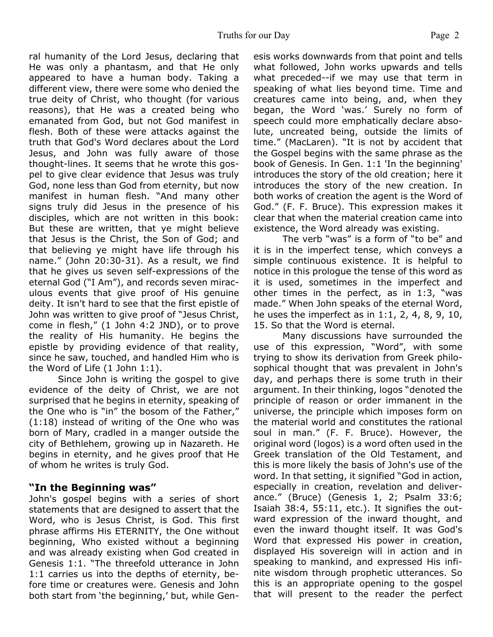ral humanity of the Lord Jesus, declaring that He was only a phantasm, and that He only appeared to have a human body. Taking a different view, there were some who denied the true deity of Christ, who thought (for various reasons), that He was a created being who emanated from God, but not God manifest in flesh. Both of these were attacks against the truth that God's Word declares about the Lord Jesus, and John was fully aware of those thought-lines. It seems that he wrote this gospel to give clear evidence that Jesus was truly God, none less than God from eternity, but now manifest in human flesh. "And many other signs truly did Jesus in the presence of his disciples, which are not written in this book: But these are written, that ye might believe that Jesus is the Christ, the Son of God; and that believing ye might have life through his name." (John 20:30-31). As a result, we find that he gives us seven self-expressions of the eternal God ("I Am"), and records seven miraculous events that give proof of His genuine deity. It isn't hard to see that the first epistle of John was written to give proof of "Jesus Christ, come in flesh," (1 John 4:2 JND), or to prove the reality of His humanity. He begins the epistle by providing evidence of that reality, since he saw, touched, and handled Him who is the Word of Life (1 John 1:1).

 Since John is writing the gospel to give evidence of the deity of Christ, we are not surprised that he begins in eternity, speaking of the One who is "in" the bosom of the Father," (1:18) instead of writing of the One who was born of Mary, cradled in a manger outside the city of Bethlehem, growing up in Nazareth. He begins in eternity, and he gives proof that He of whom he writes is truly God.

### **"In the Beginning was"**

John's gospel begins with a series of short statements that are designed to assert that the Word, who is Jesus Christ, is God. This first phrase affirms His ETERNITY, the One without beginning, Who existed without a beginning and was already existing when God created in Genesis 1:1. "The threefold utterance in John 1:1 carries us into the depths of eternity, before time or creatures were. Genesis and John both start from 'the beginning,' but, while Genesis works downwards from that point and tells what followed, John works upwards and tells what preceded--if we may use that term in speaking of what lies beyond time. Time and creatures came into being, and, when they began, the Word 'was.' Surely no form of speech could more emphatically declare absolute, uncreated being, outside the limits of time." (MacLaren). "It is not by accident that the Gospel begins with the same phrase as the book of Genesis. In Gen. 1:1 'In the beginning' introduces the story of the old creation; here it introduces the story of the new creation. In both works of creation the agent is the Word of God." (F. F. Bruce). This expression makes it clear that when the material creation came into existence, the Word already was existing.

 The verb "was" is a form of "to be" and it is in the imperfect tense, which conveys a simple continuous existence. It is helpful to notice in this prologue the tense of this word as it is used, sometimes in the imperfect and other times in the perfect, as in 1:3, "was made." When John speaks of the eternal Word, he uses the imperfect as in 1:1, 2, 4, 8, 9, 10, 15. So that the Word is eternal.

 Many discussions have surrounded the use of this expression, "Word", with some trying to show its derivation from Greek philosophical thought that was prevalent in John's day, and perhaps there is some truth in their argument. In their thinking, logos "denoted the principle of reason or order immanent in the universe, the principle which imposes form on the material world and constitutes the rational soul in man." (F. F. Bruce). However, the original word (logos) is a word often used in the Greek translation of the Old Testament, and this is more likely the basis of John's use of the word. In that setting, it signified "God in action, especially in creation, revelation and deliverance." (Bruce) (Genesis 1, 2; Psalm 33:6; Isaiah 38:4, 55:11, etc.). It signifies the outward expression of the inward thought, and even the inward thought itself. It was God's Word that expressed His power in creation, displayed His sovereign will in action and in speaking to mankind, and expressed His infinite wisdom through prophetic utterances. So this is an appropriate opening to the gospel that will present to the reader the perfect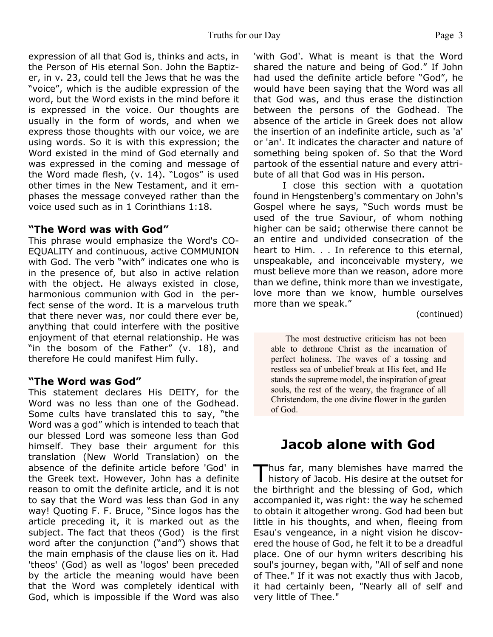expression of all that God is, thinks and acts, in the Person of His eternal Son. John the Baptizer, in v. 23, could tell the Jews that he was the "voice", which is the audible expression of the word, but the Word exists in the mind before it is expressed in the voice. Our thoughts are usually in the form of words, and when we express those thoughts with our voice, we are using words. So it is with this expression; the Word existed in the mind of God eternally and was expressed in the coming and message of the Word made flesh, (v. 14). "Logos" is used other times in the New Testament, and it emphases the message conveyed rather than the voice used such as in 1 Corinthians 1:18.

#### **"The Word was with God"**

This phrase would emphasize the Word's CO-EQUALITY and continuous, active COMMUNION with God. The verb "with" indicates one who is in the presence of, but also in active relation with the object. He always existed in close, harmonious communion with God in the perfect sense of the word. It is a marvelous truth that there never was, nor could there ever be, anything that could interfere with the positive enjoyment of that eternal relationship. He was "in the bosom of the Father" (v. 18), and therefore He could manifest Him fully.

### **"The Word was God"**

This statement declares His DEITY, for the Word was no less than one of the Godhead. Some cults have translated this to say, "the Word was a god" which is intended to teach that our blessed Lord was someone less than God himself. They base their argument for this translation (New World Translation) on the absence of the definite article before 'God' in the Greek text. However, John has a definite reason to omit the definite article, and it is not to say that the Word was less than God in any way! Quoting F. F. Bruce, "Since logos has the article preceding it, it is marked out as the subject. The fact that theos (God) is the first word after the conjunction ("and") shows that the main emphasis of the clause lies on it. Had 'theos' (God) as well as 'logos' been preceded by the article the meaning would have been that the Word was completely identical with God, which is impossible if the Word was also

'with God'. What is meant is that the Word shared the nature and being of God." If John had used the definite article before "God", he would have been saying that the Word was all that God was, and thus erase the distinction between the persons of the Godhead. The absence of the article in Greek does not allow the insertion of an indefinite article, such as 'a' or 'an'. It indicates the character and nature of something being spoken of. So that the Word partook of the essential nature and every attribute of all that God was in His person.

 I close this section with a quotation found in Hengstenberg's commentary on John's Gospel where he says, "Such words must be used of the true Saviour, of whom nothing higher can be said; otherwise there cannot be an entire and undivided consecration of the heart to Him. . . In reference to this eternal, unspeakable, and inconceivable mystery, we must believe more than we reason, adore more than we define, think more than we investigate, love more than we know, humble ourselves more than we speak."

(continued)

The most destructive criticism has not been able to dethrone Christ as the incarnation of perfect holiness. The waves of a tossing and restless sea of unbelief break at His feet, and He stands the supreme model, the inspiration of great souls, the rest of the weary, the fragrance of all Christendom, the one divine flower in the garden of God.

# **Jacob alone with God**

Thus far, many blemishes have marred the history of Jacob. His desire at the outset for hus far, many blemishes have marred the the birthright and the blessing of God, which accompanied it, was right: the way he schemed to obtain it altogether wrong. God had been but little in his thoughts, and when, fleeing from Esau's vengeance, in a night vision he discovered the house of God, he felt it to be a dreadful place. One of our hymn writers describing his soul's journey, began with, "All of self and none of Thee." If it was not exactly thus with Jacob, it had certainly been, "Nearly all of self and very little of Thee."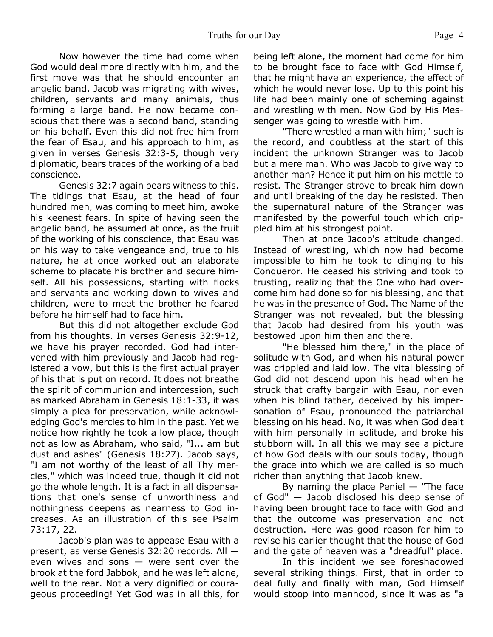Now however the time had come when God would deal more directly with him, and the first move was that he should encounter an angelic band. Jacob was migrating with wives, children, servants and many animals, thus forming a large band. He now became conscious that there was a second band, standing on his behalf. Even this did not free him from the fear of Esau, and his approach to him, as given in verses Genesis 32:3-5, though very diplomatic, bears traces of the working of a bad conscience.

 Genesis 32:7 again bears witness to this. The tidings that Esau, at the head of four hundred men, was coming to meet him, awoke his keenest fears. In spite of having seen the angelic band, he assumed at once, as the fruit of the working of his conscience, that Esau was on his way to take vengeance and, true to his nature, he at once worked out an elaborate scheme to placate his brother and secure himself. All his possessions, starting with flocks and servants and working down to wives and children, were to meet the brother he feared before he himself had to face him.

 But this did not altogether exclude God from his thoughts. In verses Genesis 32:9-12, we have his prayer recorded. God had intervened with him previously and Jacob had registered a vow, but this is the first actual prayer of his that is put on record. It does not breathe the spirit of communion and intercession, such as marked Abraham in Genesis 18:1-33, it was simply a plea for preservation, while acknowledging God's mercies to him in the past. Yet we notice how rightly he took a low place, though not as low as Abraham, who said, "I... am but dust and ashes" (Genesis 18:27). Jacob says, "I am not worthy of the least of all Thy mercies," which was indeed true, though it did not go the whole length. It is a fact in all dispensations that one's sense of unworthiness and nothingness deepens as nearness to God increases. As an illustration of this see Psalm 73:17, 22.

 Jacob's plan was to appease Esau with a present, as verse Genesis 32:20 records. All even wives and sons — were sent over the brook at the ford Jabbok, and he was left alone, well to the rear. Not a very dignified or courageous proceeding! Yet God was in all this, for being left alone, the moment had come for him to be brought face to face with God Himself, that he might have an experience, the effect of which he would never lose. Up to this point his life had been mainly one of scheming against and wrestling with men. Now God by His Messenger was going to wrestle with him.

 "There wrestled a man with him;" such is the record, and doubtless at the start of this incident the unknown Stranger was to Jacob but a mere man. Who was Jacob to give way to another man? Hence it put him on his mettle to resist. The Stranger strove to break him down and until breaking of the day he resisted. Then the supernatural nature of the Stranger was manifested by the powerful touch which crippled him at his strongest point.

 Then at once Jacob's attitude changed. Instead of wrestling, which now had become impossible to him he took to clinging to his Conqueror. He ceased his striving and took to trusting, realizing that the One who had overcome him had done so for his blessing, and that he was in the presence of God. The Name of the Stranger was not revealed, but the blessing that Jacob had desired from his youth was bestowed upon him then and there.

 "He blessed him there," in the place of solitude with God, and when his natural power was crippled and laid low. The vital blessing of God did not descend upon his head when he struck that crafty bargain with Esau, nor even when his blind father, deceived by his impersonation of Esau, pronounced the patriarchal blessing on his head. No, it was when God dealt with him personally in solitude, and broke his stubborn will. In all this we may see a picture of how God deals with our souls today, though the grace into which we are called is so much richer than anything that Jacob knew.

By naming the place Peniel  $-$  "The face of God" — Jacob disclosed his deep sense of having been brought face to face with God and that the outcome was preservation and not destruction. Here was good reason for him to revise his earlier thought that the house of God and the gate of heaven was a "dreadful" place.

 In this incident we see foreshadowed several striking things. First, that in order to deal fully and finally with man, God Himself would stoop into manhood, since it was as "a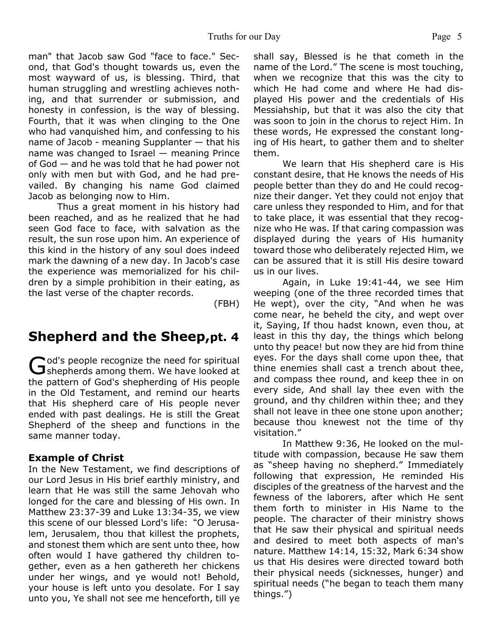man" that Jacob saw God "face to face." Second, that God's thought towards us, even the most wayward of us, is blessing. Third, that human struggling and wrestling achieves nothing, and that surrender or submission, and honesty in confession, is the way of blessing. Fourth, that it was when clinging to the One who had vanquished him, and confessing to his name of Jacob - meaning Supplanter — that his name was changed to Israel — meaning Prince of God — and he was told that he had power not only with men but with God, and he had prevailed. By changing his name God claimed Jacob as belonging now to Him.

 Thus a great moment in his history had been reached, and as he realized that he had seen God face to face, with salvation as the result, the sun rose upon him. An experience of this kind in the history of any soul does indeed mark the dawning of a new day. In Jacob's case the experience was memorialized for his children by a simple prohibition in their eating, as the last verse of the chapter records.

(FBH)

# **Shepherd and the Sheep,pt. 4**

God's people recognize the need for spiritual<br>Shepherds among them. We have looked at od's people recognize the need for spiritual the pattern of God's shepherding of His people in the Old Testament, and remind our hearts that His shepherd care of His people never ended with past dealings. He is still the Great Shepherd of the sheep and functions in the same manner today.

### **Example of Christ**

In the New Testament, we find descriptions of our Lord Jesus in His brief earthly ministry, and learn that He was still the same Jehovah who longed for the care and blessing of His own. In Matthew 23:37-39 and Luke 13:34-35, we view this scene of our blessed Lord's life: "O Jerusalem, Jerusalem, thou that killest the prophets, and stonest them which are sent unto thee, how often would I have gathered thy children together, even as a hen gathereth her chickens under her wings, and ye would not! Behold, your house is left unto you desolate. For I say unto you, Ye shall not see me henceforth, till ye

shall say, Blessed is he that cometh in the name of the Lord." The scene is most touching, when we recognize that this was the city to which He had come and where He had displayed His power and the credentials of His Messiahship, but that it was also the city that was soon to join in the chorus to reject Him. In these words, He expressed the constant longing of His heart, to gather them and to shelter them.

 We learn that His shepherd care is His constant desire, that He knows the needs of His people better than they do and He could recognize their danger. Yet they could not enjoy that care unless they responded to Him, and for that to take place, it was essential that they recognize who He was. If that caring compassion was displayed during the years of His humanity toward those who deliberately rejected Him, we can be assured that it is still His desire toward us in our lives.

 Again, in Luke 19:41-44, we see Him weeping (one of the three recorded times that He wept), over the city, "And when he was come near, he beheld the city, and wept over it, Saying, If thou hadst known, even thou, at least in this thy day, the things which belong unto thy peace! but now they are hid from thine eyes. For the days shall come upon thee, that thine enemies shall cast a trench about thee, and compass thee round, and keep thee in on every side, And shall lay thee even with the ground, and thy children within thee; and they shall not leave in thee one stone upon another; because thou knewest not the time of thy visitation."

 In Matthew 9:36, He looked on the multitude with compassion, because He saw them as "sheep having no shepherd." Immediately following that expression, He reminded His disciples of the greatness of the harvest and the fewness of the laborers, after which He sent them forth to minister in His Name to the people. The character of their ministry shows that He saw their physical and spiritual needs and desired to meet both aspects of man's nature. Matthew 14:14, 15:32, Mark 6:34 show us that His desires were directed toward both their physical needs (sicknesses, hunger) and spiritual needs ("he began to teach them many things.")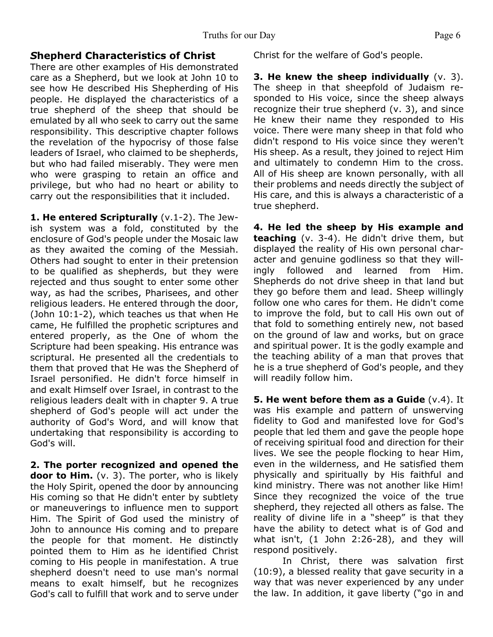### *S***hepherd Characteristics of Christ**

There are other examples of His demonstrated care as a Shepherd, but we look at John 10 to see how He described His Shepherding of His people. He displayed the characteristics of a true shepherd of the sheep that should be emulated by all who seek to carry out the same responsibility. This descriptive chapter follows the revelation of the hypocrisy of those false leaders of Israel, who claimed to be shepherds, but who had failed miserably. They were men who were grasping to retain an office and privilege, but who had no heart or ability to carry out the responsibilities that it included.

**1. He entered Scripturally** (v.1-2). The Jewish system was a fold, constituted by the enclosure of God's people under the Mosaic law as they awaited the coming of the Messiah. Others had sought to enter in their pretension to be qualified as shepherds, but they were rejected and thus sought to enter some other way, as had the scribes, Pharisees, and other religious leaders. He entered through the door, (John 10:1-2), which teaches us that when He came, He fulfilled the prophetic scriptures and entered properly, as the One of whom the Scripture had been speaking. His entrance was scriptural. He presented all the credentials to them that proved that He was the Shepherd of Israel personified. He didn't force himself in and exalt Himself over Israel, in contrast to the religious leaders dealt with in chapter 9. A true shepherd of God's people will act under the authority of God's Word, and will know that undertaking that responsibility is according to God's will.

**2. The porter recognized and opened the door to Him.** (v. 3). The porter, who is likely the Holy Spirit, opened the door by announcing His coming so that He didn't enter by subtlety or maneuverings to influence men to support Him. The Spirit of God used the ministry of John to announce His coming and to prepare the people for that moment. He distinctly pointed them to Him as he identified Christ coming to His people in manifestation. A true shepherd doesn't need to use man's normal means to exalt himself, but he recognizes God's call to fulfill that work and to serve under

Christ for the welfare of God's people.

**3. He knew the sheep individually** (v. 3). The sheep in that sheepfold of Judaism responded to His voice, since the sheep always recognize their true shepherd (v. 3), and since He knew their name they responded to His voice. There were many sheep in that fold who didn't respond to His voice since they weren't His sheep. As a result, they joined to reject Him and ultimately to condemn Him to the cross. All of His sheep are known personally, with all their problems and needs directly the subject of His care, and this is always a characteristic of a true shepherd.

**4. He led the sheep by His example and teaching** (v. 3-4). He didn't drive them, but displayed the reality of His own personal character and genuine godliness so that they willingly followed and learned from Him. Shepherds do not drive sheep in that land but they go before them and lead. Sheep willingly follow one who cares for them. He didn't come to improve the fold, but to call His own out of that fold to something entirely new, not based on the ground of law and works, but on grace and spiritual power. It is the godly example and the teaching ability of a man that proves that he is a true shepherd of God's people, and they will readily follow him.

**5. He went before them as a Guide** (v.4). It was His example and pattern of unswerving fidelity to God and manifested love for God's people that led them and gave the people hope of receiving spiritual food and direction for their lives. We see the people flocking to hear Him, even in the wilderness, and He satisfied them physically and spiritually by His faithful and kind ministry. There was not another like Him! Since they recognized the voice of the true shepherd, they rejected all others as false. The reality of divine life in a "sheep" is that they have the ability to detect what is of God and what isn't, (1 John 2:26-28), and they will respond positively.

 In Christ, there was salvation first (10:9), a blessed reality that gave security in a way that was never experienced by any under the law. In addition, it gave liberty ("go in and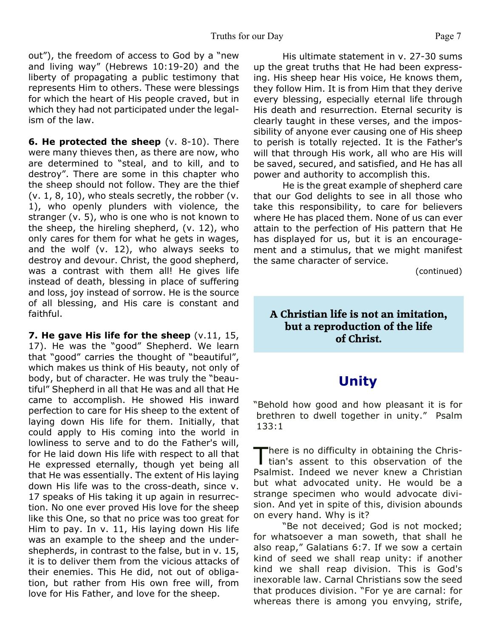out"), the freedom of access to God by a "new and living way" (Hebrews 10:19-20) and the liberty of propagating a public testimony that represents Him to others. These were blessings for which the heart of His people craved, but in which they had not participated under the legalism of the law.

**6. He protected the sheep** (v. 8-10). There were many thieves then, as there are now, who are determined to "steal, and to kill, and to destroy". There are some in this chapter who the sheep should not follow. They are the thief  $(v. 1, 8, 10)$ , who steals secretly, the robber  $(v. 1, 1, 10)$ 1), who openly plunders with violence, the stranger (v. 5), who is one who is not known to the sheep, the hireling shepherd, (v. 12), who only cares for them for what he gets in wages, and the wolf (v. 12), who always seeks to destroy and devour. Christ, the good shepherd, was a contrast with them all! He gives life instead of death, blessing in place of suffering and loss, joy instead of sorrow. He is the source of all blessing, and His care is constant and faithful.

**7. He gave His life for the sheep** (v.11, 15, 17). He was the "good" Shepherd. We learn that "good" carries the thought of "beautiful", which makes us think of His beauty, not only of body, but of character. He was truly the "beautiful" Shepherd in all that He was and all that He came to accomplish. He showed His inward perfection to care for His sheep to the extent of laying down His life for them. Initially, that could apply to His coming into the world in lowliness to serve and to do the Father's will, for He laid down His life with respect to all that He expressed eternally, though yet being all that He was essentially. The extent of His laying down His life was to the cross-death, since v. 17 speaks of His taking it up again in resurrection. No one ever proved His love for the sheep like this One, so that no price was too great for Him to pay. In v. 11, His laying down His life was an example to the sheep and the undershepherds, in contrast to the false, but in v. 15, it is to deliver them from the vicious attacks of their enemies. This He did, not out of obligation, but rather from His own free will, from love for His Father, and love for the sheep.

 His ultimate statement in v. 27-30 sums up the great truths that He had been expressing. His sheep hear His voice, He knows them, they follow Him. It is from Him that they derive every blessing, especially eternal life through His death and resurrection. Eternal security is clearly taught in these verses, and the impossibility of anyone ever causing one of His sheep to perish is totally rejected. It is the Father's will that through His work, all who are His will be saved, secured, and satisfied, and He has all power and authority to accomplish this.

 He is the great example of shepherd care that our God delights to see in all those who take this responsibility, to care for believers where He has placed them. None of us can ever attain to the perfection of His pattern that He has displayed for us, but it is an encouragement and a stimulus, that we might manifest the same character of service.

(continued)

### **A Christian life is not an imitation, but a reproduction of the life of Christ.**

### **Unity**

"Behold how good and how pleasant it is for brethren to dwell together in unity." Psalm 133:1

There is no difficulty in obtaining the Christian's assent to this observation of the here is no difficulty in obtaining the Chris-Psalmist. Indeed we never knew a Christian but what advocated unity. He would be a strange specimen who would advocate division. And yet in spite of this, division abounds on every hand. Why is it?

 "Be not deceived; God is not mocked; for whatsoever a man soweth, that shall he also reap," Galatians 6:7. If we sow a certain kind of seed we shall reap unity: if another kind we shall reap division. This is God's inexorable law. Carnal Christians sow the seed that produces division. "For ye are carnal: for whereas there is among you envying, strife,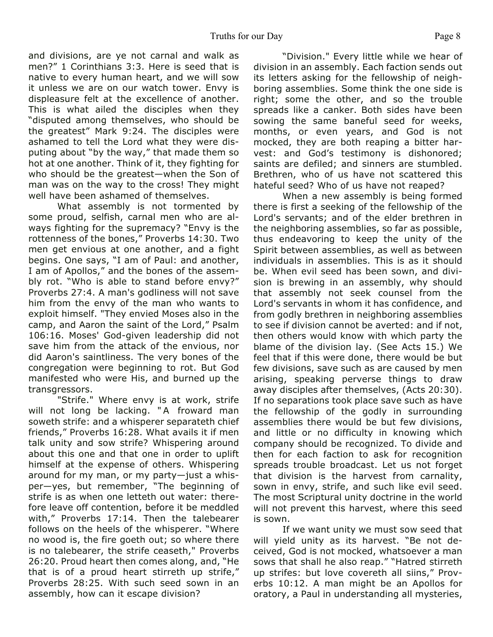and divisions, are ye not carnal and walk as men?" 1 Corinthians 3:3. Here is seed that is native to every human heart, and we will sow it unless we are on our watch tower. Envy is displeasure felt at the excellence of another. This is what ailed the disciples when they "disputed among themselves, who should be the greatest" Mark 9:24. The disciples were ashamed to tell the Lord what they were disputing about "by the way," that made them so hot at one another. Think of it, they fighting for who should be the greatest—when the Son of man was on the way to the cross! They might well have been ashamed of themselves.

 What assembly is not tormented by some proud, selfish, carnal men who are always fighting for the supremacy? "Envy is the rottenness of the bones," Proverbs 14:30. Two men get envious at one another, and a fight begins. One says, "I am of Paul: and another, I am of Apollos," and the bones of the assembly rot. "Who is able to stand before envy?" Proverbs 27:4. A man's godliness will not save him from the envy of the man who wants to exploit himself. "They envied Moses also in the camp, and Aaron the saint of the Lord," Psalm 106:16. Moses' God-given leadership did not save him from the attack of the envious, nor did Aaron's saintliness. The very bones of the congregation were beginning to rot. But God manifested who were His, and burned up the transgressors.

 "Strife." Where envy is at work, strife will not long be lacking. "A froward man soweth strife: and a whisperer separateth chief friends," Proverbs 16:28. What avails it if men talk unity and sow strife? Whispering around about this one and that one in order to uplift himself at the expense of others. Whispering around for my man, or my party—just a whisper—yes, but remember, "The beginning of strife is as when one letteth out water: therefore leave off contention, before it be meddled with," Proverbs 17:14. Then the talebearer follows on the heels of the whisperer. "Where no wood is, the fire goeth out; so where there is no talebearer, the strife ceaseth," Proverbs 26:20. Proud heart then comes along, and, "He that is of a proud heart stirreth up strife," Proverbs 28:25. With such seed sown in an assembly, how can it escape division?

"Division." Every little while we hear of division in an assembly. Each faction sends out its letters asking for the fellowship of neighboring assemblies. Some think the one side is right; some the other, and so the trouble spreads like a canker. Both sides have been sowing the same baneful seed for weeks, months, or even years, and God is not mocked, they are both reaping a bitter harvest: and God's testimony is dishonored; saints are defiled; and sinners are stumbled. Brethren, who of us have not scattered this hateful seed? Who of us have not reaped?

 When a new assembly is being formed there is first a seeking of the fellowship of the Lord's servants; and of the elder brethren in the neighboring assemblies, so far as possible, thus endeavoring to keep the unity of the Spirit between assemblies, as well as between individuals in assemblies. This is as it should be. When evil seed has been sown, and division is brewing in an assembly, why should that assembly not seek counsel from the Lord's servants in whom it has confidence, and from godly brethren in neighboring assemblies to see if division cannot be averted: and if not, then others would know with which party the blame of the division lay. (See Acts 15.) We feel that if this were done, there would be but few divisions, save such as are caused by men arising, speaking perverse things to draw away disciples after themselves, (Acts 20:30). If no separations took place save such as have the fellowship of the godly in surrounding assemblies there would be but few divisions, and little or no difficulty in knowing which company should be recognized. To divide and then for each faction to ask for recognition spreads trouble broadcast. Let us not forget that division is the harvest from carnality, sown in envy, strife, and such like evil seed. The most Scriptural unity doctrine in the world will not prevent this harvest, where this seed is sown.

 If we want unity we must sow seed that will yield unity as its harvest. "Be not deceived, God is not mocked, whatsoever a man sows that shall he also reap." "Hatred stirreth up strifes: but love covereth all siins," Proverbs 10:12. A man might be an Apollos for oratory, a Paul in understanding all mysteries,